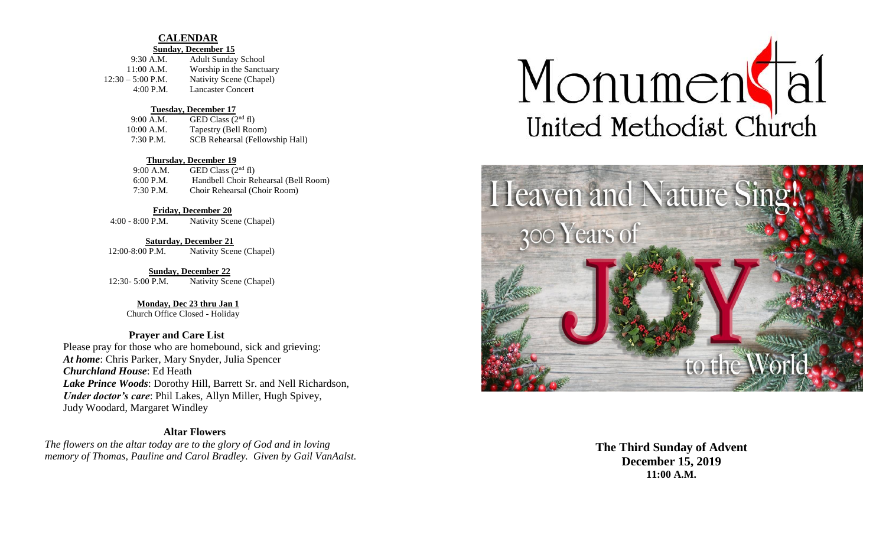## **CALENDAR**

#### **Sunday, December 15**

| $9:30$ A.M.         | <b>Adult Sunday School</b> |
|---------------------|----------------------------|
| $11:00$ A.M.        | Worship in the Sanctuary   |
| $12:30 - 5:00$ P.M. | Nativity Scene (Chapel)    |
| 4:00 P.M.           | Lancaster Concert          |

#### **Tuesday, December 17**

| 9:00 A.M.    | GED Class $(2nd$ fl)            |
|--------------|---------------------------------|
| $10:00$ A.M. | Tapestry (Bell Room)            |
| 7:30 P.M.    | SCB Rehearsal (Fellowship Hall) |

#### **Thursday, December 19**

| 9:00 A.M.   | GED Class $(2nd$ fl)                 |
|-------------|--------------------------------------|
| 6:00 P.M.   | Handbell Choir Rehearsal (Bell Room) |
| $7:30$ P.M. | Choir Rehearsal (Choir Room)         |

#### **Friday, December 20**

4:00 - 8:00 P.M. Nativity Scene (Chapel)

 **Saturday, December 21** 12:00-8:00 P.M. Nativity Scene (Chapel)

 **Sunday, December 22** 12:30- 5:00 P.M. Nativity Scene (Chapel)

## **Monday, Dec 23 thru Jan 1**

Church Office Closed - Holiday

# **Prayer and Care List**

Please pray for those who are homebound, sick and grieving: *At home*: Chris Parker, Mary Snyder, Julia Spencer *Churchland House*: Ed Heath *Lake Prince Woods*: Dorothy Hill, Barrett Sr. and Nell Richardson, *Under doctor's care*: Phil Lakes, Allyn Miller, Hugh Spivey, Judy Woodard, Margaret Windley

## **Altar Flowers**

*The flowers on the altar today are to the glory of God and in loving memory of Thomas, Pauline and Carol Bradley. Given by Gail VanAalst.*





**The Third Sunday of Advent December 15, 2019 11:00 A.M.**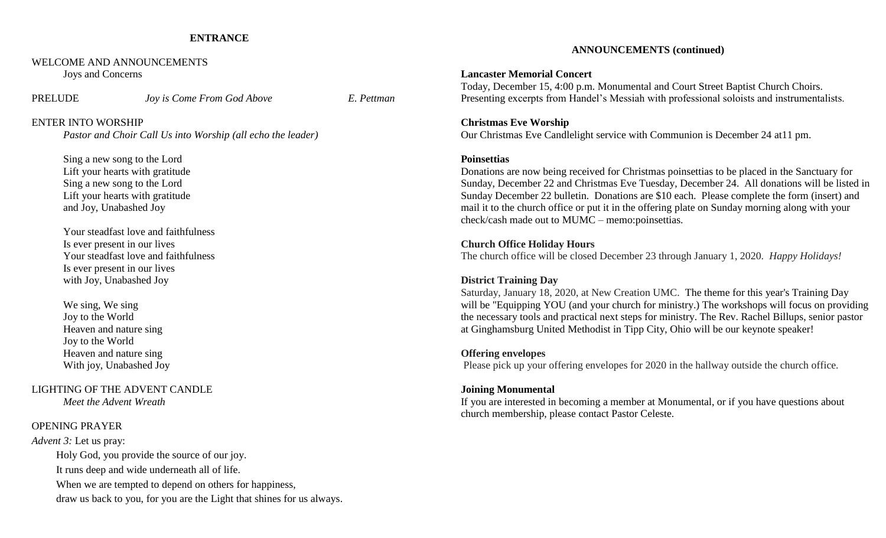## **ENTRANCE**

## WELCOME AND ANNOUNCEMENTS Joys and Concerns

PRELUDE *Joy is Come From God Above E. Pettman*

### ENTER INTO WORSHIP

*Pastor and Choir Call Us into Worship (all echo the leader)*

Sing a new song to the Lord Lift your hearts with gratitude Sing a new song to the Lord Lift your hearts with gratitude and Joy, Unabashed Joy

Your steadfast love and faithfulness Is ever present in our lives Your steadfast love and faithfulness Is ever present in our lives with Joy, Unabashed Joy

We sing, We sing Joy to the World Heaven and nature sing Joy to the World Heaven and nature sing With joy, Unabashed Joy

LIGHTING OF THE ADVENT CANDLE *Meet the Advent Wreath*

## OPENING PRAYER

*Advent 3:* Let us pray: Holy God, you provide the source of our joy. It runs deep and wide underneath all of life. When we are tempted to depend on others for happiness, draw us back to you, for you are the Light that shines for us always.

### **ANNOUNCEMENTS (continued)**

#### **Lancaster Memorial Concert**

Today, December 15, 4:00 p.m. Monumental and Court Street Baptist Church Choirs. Presenting excerpts from Handel's Messiah with professional soloists and instrumentalists.

### **Christmas Eve Worship**

Our Christmas Eve Candlelight service with Communion is December 24 at11 pm.

### **Poinsettias**

Donations are now being received for Christmas poinsettias to be placed in the Sanctuary for Sunday, December 22 and Christmas Eve Tuesday, December 24. All donations will be listed in Sunday December 22 bulletin. Donations are \$10 each. Please complete the form (insert) and mail it to the church office or put it in the offering plate on Sunday morning along with your check/cash made out to MUMC – memo:poinsettias.

#### **Church Office Holiday Hours**

The church office will be closed December 23 through January 1, 2020. *Happy Holidays!*

## **District Training Day**

Saturday, January 18, 2020, at New Creation UMC. The theme for this year's Training Day will be "Equipping YOU (and your church for ministry.) The workshops will focus on providing the necessary tools and practical next steps for ministry. The Rev. Rachel Billups, senior pastor at Ginghamsburg United Methodist in Tipp City, Ohio will be our keynote speaker!

## **Offering envelopes**

Please pick up your offering envelopes for 2020 in the hallway outside the church office.

### **Joining Monumental**

If you are interested in becoming a member at Monumental, or if you have questions about church membership, please contact Pastor Celeste.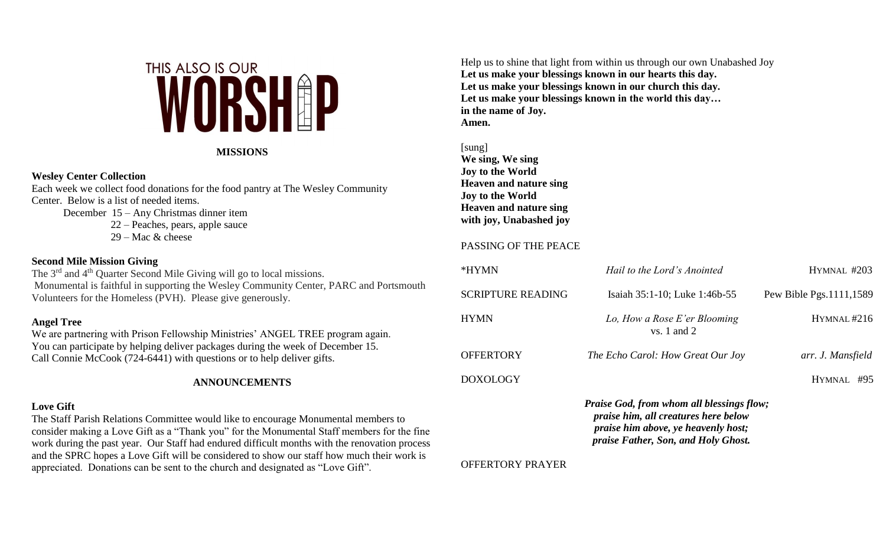

# **MISSIONS**

# **Wesley Center Collection**

Each week we collect food donations for the food pantry at The Wesley Community Center. Below is a list of needed items.

December 15 – Any Christmas dinner item

22 – Peaches, pears, apple sauce

 $29 - \text{Mac}$  & cheese

# **Second Mile Mission Giving**

The 3<sup>rd</sup> and 4<sup>th</sup> Quarter Second Mile Giving will go to local missions. Monumental is faithful in supporting the Wesley Community Center, PARC and Portsmouth Volunteers for the Homeless (PVH). Please give generously.

# **Angel Tree**

We are partnering with Prison Fellowship Ministries' ANGEL TREE program again. You can participate by helping deliver packages during the week of December 15. Call Connie McCook (724-6441) with questions or to help deliver gifts.

# **ANNOUNCEMENTS**

# **Love Gift**

The Staff Parish Relations Committee would like to encourage Monumental members to consider making a Love Gift as a "Thank you" for the Monumental Staff members for the fine work during the past year. Our Staff had endured difficult months with the renovation process and the SPRC hopes a Love Gift will be considered to show our staff how much their work is appreciated. Donations can be sent to the church and designated as "Love Gift".

Help us to shine that light from within us through our own Unabashed Joy **Let us make your blessings known in our hearts this day. Let us make your blessings known in our church this day. Let us make your blessings known in the world this day… in the name of Joy. Amen.**

[sung] **We sing, We sing Joy to the World Heaven and nature sing Joy to the World Heaven and nature sing with joy, Unabashed joy**

# PASSING OF THE PEACE

| *HYMN                                            | Hail to the Lord's Anointed                     | HYMNAL #203               |  |  |
|--------------------------------------------------|-------------------------------------------------|---------------------------|--|--|
| <b>SCRIPTURE READING</b>                         | Isaiah 35:1-10; Luke 1:46b-55                   | Pew Bible Pgs. 1111, 1589 |  |  |
| HYMN                                             | Lo, How a Rose E'er Blooming<br>$vs. 1$ and $2$ | HYMNAL#216                |  |  |
| OFFERTORY                                        | The Echo Carol: How Great Our Joy               | arr. J. Mansfield         |  |  |
| DOXOLOGY                                         |                                                 | HYMNAL<br>#95             |  |  |
| <b>Praise God, from whom all blessings flow;</b> |                                                 |                           |  |  |

*praise him, all creatures here below praise him above, ye heavenly host; praise Father, Son, and Holy Ghost.*

# OFFERTORY PRAYER